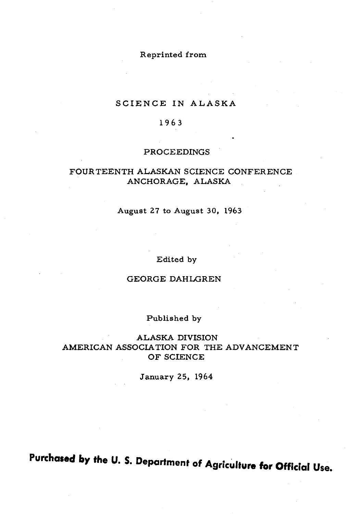# Reprinted from

# SCIENCE IN ALASKA

### 1963

#### PROCEEDINGS

### FOURTEENTH ALASKAN SCIENCE CONFERENCE ANCHORAGE, ALASKA

### August 27 to August 30, 1963

#### Edited by

### GEORGE DAHLGREN

#### Published by

### ALASKA DIVISION AMERICAN ASSOCIATION FOR THE ADVANCEMENT OF SCIENCE

#### January 25, 1964

**Purchased by the U. S. Department of Agriculture for Official Use.**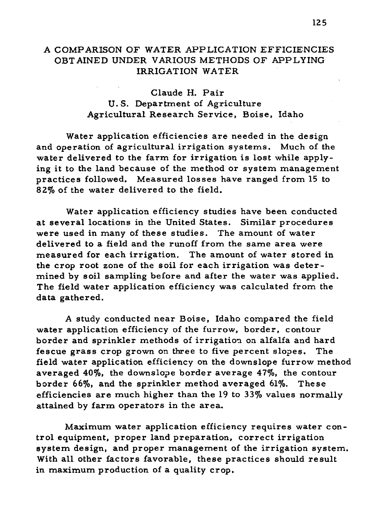### A COMPARISON OF WATER APPLICATION EFFICIENCIES OBTAINED UNDER VARIOUS METHODS OF APPLYING IRRIGATION WATER

# Claude H. Pair U. S. Department of Agriculture Agricultural Research Service, Boise, Idaho

Water application efficiencies are needed in the design and operation of agricultural irrigation systems. Much of the water delivered to the farm for irrigation is lost while applying it to the land because of the method or system management practices followed. Measured losses have ranged from 15 to 82% of the water delivered to the field.

Water application efficiency studies have been conducted at several locations in the United States. Similar procedures were used in many of these studies. The amount of water delivered to a field and the runoff from the same area were measured for each irrigation. The amount of water stored in the crop root zone of the soil for each irrigation was determined by soil sampling before and after the water was applied. The field water application efficiency was calculated from the data gathered.

A study conducted near Boise, Idaho compared the field water application efficiency of the furrow, border, contour border and sprinkler methods of irrigation on alfalfa and hard fescue grass crop grown on three to five percent slopes. The field water application efficiency on the downslope furrow method averaged 40%, the downslope border average 47%, the contour border 66%, and the sprinkler method averaged 61%. These efficiencies are much higher than the 19 to 33% values normally attained by farm operators in the area.

Maximum water application efficiency requires water control equipment, proper land preparation, correct irrigation system design, and proper management of the irrigation system. With all other factors favorable, these practices should result in maximum production of a quality crop.